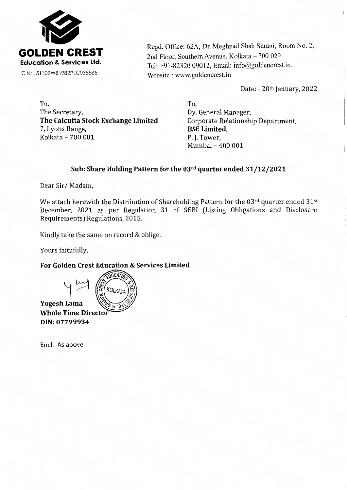

Regd. Office: 62A, Dr. Meghnad Shah Sarani, Room No. 2, 2nd Floor, Southern Avenue, Kolkata - 700 029 Tel: +91-82320 09012, Email: info@goldencrest.in, Website : www.goldencrest.in

Date: - 20th January, 2022

To, The Secretary, **The Calcutta Stock Exchange Limited**  7, Lyons Range, Kolkata – 700 001 P. J. Tower,

To, Dy. General Manager, Corporate Relationship Department, **BSE Limited,**  Mumbai - 400 001

## **Sub: Share Holding Pattern for the OJrd quarter ended 31/12/2021**

Dear Sir/ Madam,

We attach herewith the Distribution of Shareholding Pattern for the 03rd quarter ended 31st December, 2021 as per Regulation 31 of SEBI (Listing Obligations and Disclosure Requirements) Regulations, 2015.

Kindly take the same on record & oblige.

Yours faithfully,

**For Golden Crest Education & Services Limited** 

 $\sim$   $\frac{1}{2}$ **KOLKA Yogesh Lama Whole Time Directo** DIN: 07799934

Encl.: As above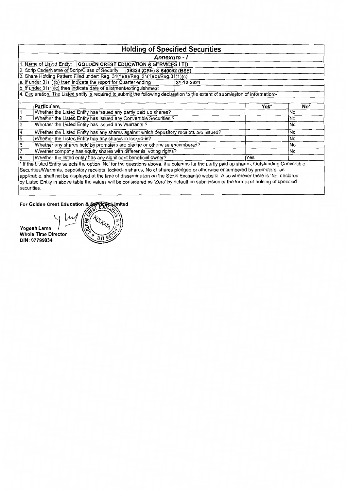|             | <b>Holding of Specified Securities</b>                                                                                                     |            |      |     |  |  |  |  |  |  |  |  |  |  |
|-------------|--------------------------------------------------------------------------------------------------------------------------------------------|------------|------|-----|--|--|--|--|--|--|--|--|--|--|
|             | Annexure - I                                                                                                                               |            |      |     |  |  |  |  |  |  |  |  |  |  |
|             | 1. Name of Listed Entity:   GOLDEN CREST EDUCATION & SERVICES LTD                                                                          |            |      |     |  |  |  |  |  |  |  |  |  |  |
|             | 2. Scrip Code/Name of Scrip/Class of Security   29324 (CSE) & 540062 (BSE)                                                                 |            |      |     |  |  |  |  |  |  |  |  |  |  |
|             | 3. Share Holding Pattern Filed under: Reg. 31(1)(a)/Reg. 31(1)(b)/Reg.31(1)(c)                                                             |            |      |     |  |  |  |  |  |  |  |  |  |  |
|             | a. If under 31(1)(b) then indicate the report for Quarter ending                                                                           | 31-12-2021 |      |     |  |  |  |  |  |  |  |  |  |  |
|             | b. If under 31(1)(c) then indicate date of allotment/extinguishment                                                                        |            |      |     |  |  |  |  |  |  |  |  |  |  |
|             | 4. Declaration: The Listed entity is required to submit the following declaration to the extent of submission of information:-             |            |      |     |  |  |  |  |  |  |  |  |  |  |
|             |                                                                                                                                            |            |      |     |  |  |  |  |  |  |  |  |  |  |
|             | Particulars                                                                                                                                |            | Yes* | No* |  |  |  |  |  |  |  |  |  |  |
|             | Whether the Listed Entity has issued any partly paid up shares?                                                                            |            |      | No  |  |  |  |  |  |  |  |  |  |  |
|             | Whether the Listed Entity has issued any Convertible Securities?                                                                           |            |      | No  |  |  |  |  |  |  |  |  |  |  |
| 3           | Whether the Listed Entity has issued any Warrants?                                                                                         |            |      | No  |  |  |  |  |  |  |  |  |  |  |
| 4           | Whether the Listed Entity has any shares against which depository receipts are issued?                                                     |            |      | No  |  |  |  |  |  |  |  |  |  |  |
| 5           | Whether the Listed Entity has any shares in locked-in?                                                                                     |            |      | No  |  |  |  |  |  |  |  |  |  |  |
| 6           | Whether any shares held by promoters are pledge or otherwise encumbered?                                                                   |            |      | No  |  |  |  |  |  |  |  |  |  |  |
|             | Whether company has equity shares with differential voting rights?                                                                         |            |      | No  |  |  |  |  |  |  |  |  |  |  |
| l8          | Whether the listed entity has any significant beneficial owner?                                                                            |            | Yes  |     |  |  |  |  |  |  |  |  |  |  |
|             | * If the Listed Entity selects the option 'No' for the questions above, the columns for the partly paid up shares, Outstanding Convertible |            |      |     |  |  |  |  |  |  |  |  |  |  |
|             | Securities/Warrants, depository receipts, locked-in shares, No of shares pledged or otherwise encumbered by promoters, as                  |            |      |     |  |  |  |  |  |  |  |  |  |  |
|             | applicable, shall not be displayed at the time of dissemination on the Stock Exchange website. Also wherever there is 'No' declared        |            |      |     |  |  |  |  |  |  |  |  |  |  |
|             | by Listed Entity in above table the values will be considered as 'Zero' by default on submission of the format of holding of specified     |            |      |     |  |  |  |  |  |  |  |  |  |  |
| securities. |                                                                                                                                            |            |      |     |  |  |  |  |  |  |  |  |  |  |

For Golden Crest Education & Service Limited

**Yo g es h Lama** , --- **Whole Time Director DIN: 07799934** 

J *[;Vvf*  πc 'n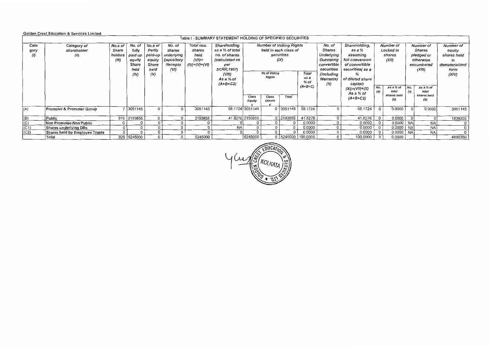|                    | <b>Golden Crest Education &amp; Services Limited</b>                                           |         |               |               |                  |               |                           |                 |                                   |             |           |                           |                                   |            |                    |                      |                    |                      |
|--------------------|------------------------------------------------------------------------------------------------|---------|---------------|---------------|------------------|---------------|---------------------------|-----------------|-----------------------------------|-------------|-----------|---------------------------|-----------------------------------|------------|--------------------|----------------------|--------------------|----------------------|
|                    | Table I - SUMMARY STATEMENT HOLDING OF SPECIFIED SECURITIES<br><b>Number of Votting Rights</b> |         |               |               |                  |               |                           |                 |                                   |             |           |                           |                                   |            |                    |                      |                    |                      |
| Cate               | Category of                                                                                    | No.s of | No. of        | No.s of       | No. of           | Total nos.    | Shareholding              |                 |                                   |             |           | No. of                    | Shareholding,<br>Number of        |            |                    | Number of            |                    | Number of            |
| gory               | shareholder                                                                                    | Share   | fully         | Partly        | shares           | shares        | as a % of total           |                 | held in each class of             |             |           | Shares<br>as a %          |                                   | Locked in  |                    | Shares               |                    | equity               |
| $\left( 0 \right)$ | (11)                                                                                           | holders | paid up       | paid-up       | underlying       | held          | no, of shares             |                 |                                   | securities  |           | Underlying                | assuming                          | shares     |                    | pledged or           |                    | shares held          |
|                    |                                                                                                | (III)   | equity        | equity        | Depository       | $(VII) =$     | (calculated as            |                 | (IX)                              |             |           | Outstating                | full conversion                   |            | (XII)              |                      | otherwise          | in<br>dematerialized |
|                    |                                                                                                |         | Share<br>held | Share<br>held | Receipts<br>(VI) | (IV)+(V)+(VI) | per<br><b>SCRR, 1957)</b> |                 |                                   |             |           | convertible<br>securities | of convertible<br>securities(as a |            |                    | encumbered<br>(XIII) |                    | form                 |
|                    |                                                                                                |         | (IV)          | (V)           |                  |               | (VIII)                    |                 | No of Voting                      |             | Total     | <i>(including</i>         | ℅                                 |            |                    |                      |                    | (XIV)                |
|                    |                                                                                                |         |               |               |                  |               | As a % of                 |                 | Rights                            |             | as a      | Warrants)                 | of diluted share                  |            |                    |                      |                    |                      |
|                    |                                                                                                |         |               |               |                  |               | $(A+B+C2)$                |                 |                                   |             | % of      | (X)                       | capital)                          |            |                    |                      |                    |                      |
|                    |                                                                                                |         |               |               |                  |               |                           |                 |                                   |             | $(A+B+C)$ |                           | $(XI) = (VII) + (X)$              | No.<br>(a) | As a % of<br>total | No.<br>(a)           | As a % of<br>total |                      |
|                    |                                                                                                |         |               |               |                  |               |                           |                 |                                   |             |           |                           | As a % of                         |            | shares held        |                      | shares held        |                      |
|                    |                                                                                                |         |               |               |                  |               |                           | Equity          | Total<br>Class<br>Class<br>Others |             |           |                           | $(A+B+C2)$                        |            | (b)                |                      | (b)                |                      |
|                    |                                                                                                |         |               |               |                  |               |                           |                 |                                   |             |           |                           |                                   |            |                    |                      |                    |                      |
| (A)                | Promoter & Promoter Group                                                                      |         | 7 3051145     |               | $\Omega$         | 3051145       |                           | 58.1724 3051145 |                                   | $0$ 3051145 | 58.1724   | $\Omega$                  | 58.1724                           | $\Omega$   | 0.0000             |                      | 0.0000             | 3051145              |
| (B)                | l Public                                                                                       | 919     | 2193855       |               | $\Omega$         | 2193855       |                           | 41.8276 2193855 |                                   | 0 2193855   | 41.8276   | $\Omega$                  | 41.8276                           |            | 0.0000             |                      |                    | 1839205              |
| (C)                | Non Promoter-Non Public                                                                        |         |               |               |                  |               |                           |                 |                                   |             | 0.0000    |                           | 0.0000                            |            | 0.0000             | <b>NA</b>            | <b>NA</b>          |                      |
| (C1)               | Shares underlying DRs                                                                          |         |               |               |                  |               | <b>NA</b>                 |                 |                                   |             | 0.0000    |                           | 0.0000                            |            | 0.0000             | <b>NA</b>            | <b>NA</b>          |                      |
| (C2)               | Shares held by Employee Trusts                                                                 |         |               |               |                  |               |                           |                 |                                   | $\Omega$    | 0.0000    |                           | 0.0000                            |            | 0.0000             | <b>NA</b>            | <b>NA</b>          |                      |
|                    | <b>Total</b>                                                                                   |         | 926 5245000   |               |                  | 5245000       |                           | 5245000         |                                   | 0 5245000   | 100.0000  |                           | 100.0000                          |            | 0.0000             |                      |                    | 4890350              |

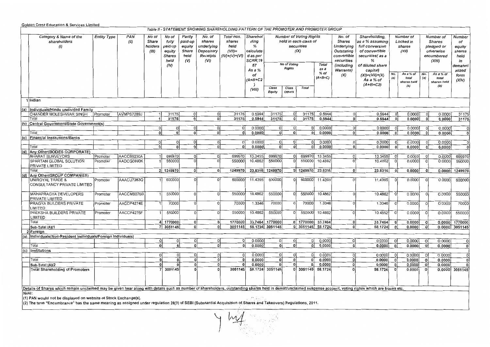## Golden Crest Education & Services Limited

|       | Table II - STATEMENT SHOWING SHAREHOLDING PATTERN OF THE PROMOTER AND PROMOTER GROUP<br>Sharehol<br><b>Number of Voting Rights</b><br>Number of<br>Number of                                                   |                                   |            |                                    |                                                                      |                                                     |                                                                  |                                                              |                                                               |                         |                      |                                             |                           |                                                                                                |                                                                                                                   |              |                                   |            |                                                                  |                                                            |
|-------|----------------------------------------------------------------------------------------------------------------------------------------------------------------------------------------------------------------|-----------------------------------|------------|------------------------------------|----------------------------------------------------------------------|-----------------------------------------------------|------------------------------------------------------------------|--------------------------------------------------------------|---------------------------------------------------------------|-------------------------|----------------------|---------------------------------------------|---------------------------|------------------------------------------------------------------------------------------------|-------------------------------------------------------------------------------------------------------------------|--------------|-----------------------------------|------------|------------------------------------------------------------------|------------------------------------------------------------|
|       | Category & Name of the<br>shareholders<br>(1)                                                                                                                                                                  | PAN<br><b>Entity Type</b><br>(II) |            | No of<br>Share<br>holders<br>(III) | No of<br>fully<br>paid up<br>equity<br><b>Shares</b><br>held<br>(IV) | Partly<br>paid-up<br>equity<br>Share<br>held<br>(V) | No. of<br>shares<br>underlying<br>Depository<br>Receipts<br>(VI) | Total nos.<br>shares<br>held<br>$(VII)$ =<br>$(IV)+(V)+(VI)$ | ding<br>%<br>calculate<br>d as per<br>SCRR,19<br>57<br>As a % |                         | No of Voting         | held in each class of<br>securities<br>(IX) | <b>Total</b>              | No. of<br><b>Shares</b><br>Underlying<br>Outstating<br>convertible<br>securities<br>(including | Shareholding,<br>as a % assuming<br>full conversion<br>of convertible<br>securities(as a<br>%<br>of diluted share |              | Locked in<br>shares<br>(XII)      |            | <b>Shares</b><br>pledged or<br>otherwise<br>encumbered<br>(XIII) | Number<br>of<br>equity<br>shares<br>held<br>in<br>demateri |
|       |                                                                                                                                                                                                                |                                   |            |                                    |                                                                      |                                                     |                                                                  |                                                              | of<br>(A+B+C2                                                 |                         | <b>Rights</b>        |                                             | as a<br>% of<br>$(A+B+C)$ | Warrants)<br>(X)                                                                               | capital)<br>$(XI) = (VII) + (X)$<br>As a % of                                                                     | No.<br>(a)   | As a % of<br>total<br>shares held | No.<br>(a) | As a % of<br>total<br>shares held                                | alized<br>form<br>(XIV)                                    |
|       |                                                                                                                                                                                                                |                                   |            |                                    |                                                                      |                                                     |                                                                  |                                                              | (VIII)                                                        | Class<br>Equity         | Class<br>Others      | Total                                       |                           |                                                                                                | $(A+B+C2)$                                                                                                        |              | (b)                               |            | (b)                                                              |                                                            |
|       | 1 Indian                                                                                                                                                                                                       |                                   |            |                                    |                                                                      |                                                     |                                                                  |                                                              |                                                               |                         |                      |                                             |                           |                                                                                                |                                                                                                                   |              |                                   |            |                                                                  |                                                            |
|       | (a)  Individuals/Hindu undivided Family                                                                                                                                                                        |                                   |            |                                    |                                                                      |                                                     |                                                                  |                                                              |                                                               |                         |                      |                                             |                           |                                                                                                |                                                                                                                   |              |                                   |            |                                                                  |                                                            |
|       | CHANDER MOLESHWAR SINGH                                                                                                                                                                                        | Promoter                          | AVMPS7289J | 1                                  | 31175                                                                | οl                                                  | οı                                                               | 31175                                                        | 0.5944                                                        | 31175                   | οl                   | 31175                                       | 0.5944                    | <sup>o</sup>                                                                                   | 0.5944                                                                                                            | $\mathbf{0}$ | 0.0000                            | 0          | 0.0000                                                           | 31175                                                      |
|       | Total                                                                                                                                                                                                          |                                   |            | 1                                  | 31175                                                                | $\mathbf{0}$                                        | οI                                                               | 31175                                                        | 0.5944                                                        | 31175                   | 0                    | 31175                                       | 0.5944                    | 0                                                                                              | 0.5944                                                                                                            | -o i         | 0.0000                            | ol         | 0.0000                                                           | 31175                                                      |
|       | (b) Central Government/State Government(s)                                                                                                                                                                     |                                   |            |                                    |                                                                      |                                                     |                                                                  |                                                              |                                                               |                         |                      |                                             |                           |                                                                                                |                                                                                                                   |              |                                   |            |                                                                  |                                                            |
|       |                                                                                                                                                                                                                |                                   |            | 0l                                 | οI                                                                   | οı                                                  | οl                                                               | οl                                                           | 0.0000                                                        | οl                      | 0                    | 0l                                          | 0.0000                    | οl                                                                                             | 0.0000                                                                                                            | οi           | 0.0000                            | 0          | 0.0000                                                           | -ol                                                        |
|       | Total                                                                                                                                                                                                          |                                   |            | $\mathbf{0}$                       | ٥l                                                                   | 0                                                   | οl                                                               | ٥I                                                           | 0.0000                                                        | ٥l                      | 0                    | Οİ                                          | 0.0000                    | 0                                                                                              | 0.0000                                                                                                            | - O          | 0.0000                            | $\Omega$   | 0.0000                                                           | -O I                                                       |
|       | (c) Financial Institutions/Banks                                                                                                                                                                               |                                   |            |                                    |                                                                      |                                                     |                                                                  |                                                              |                                                               |                         |                      |                                             |                           |                                                                                                |                                                                                                                   |              |                                   |            |                                                                  |                                                            |
|       |                                                                                                                                                                                                                |                                   |            | 0                                  | ٥l                                                                   | 0l                                                  | 0                                                                | $\overline{0}$                                               | 0.0000                                                        | $\overline{O}$          | 0                    | 0l                                          | 0.0000                    | $\overline{0}$                                                                                 | 0.0000                                                                                                            | 0            | 0.0000                            | 0          | 0.0000                                                           | 0                                                          |
|       | Total                                                                                                                                                                                                          |                                   |            | $\overline{\mathfrak{o}}$          | o١                                                                   | οI                                                  | ٥I                                                               | οl                                                           | 0.0000                                                        | $\overline{\mathbf{0}}$ | ٥l                   | $\Omega$                                    | 0.0000                    | ΩI                                                                                             | 0.0000                                                                                                            | -o l         | 0.0000                            | ol         | 0.0000                                                           | οl                                                         |
| (d)   | Any Other (BODIES CORPORATE)                                                                                                                                                                                   |                                   |            |                                    |                                                                      |                                                     |                                                                  |                                                              |                                                               |                         |                      |                                             |                           |                                                                                                |                                                                                                                   |              |                                   |            |                                                                  |                                                            |
|       | <b>BHARAT SURVEYORS</b>                                                                                                                                                                                        | Promoter                          | AACCB5230A | 11                                 | 699970                                                               | 0 <sup>1</sup>                                      | 0                                                                | 699970                                                       | 13.3455                                                       | 699970                  | οı                   | 699970                                      | 13.3455                   | $\Omega$                                                                                       | 13.3455                                                                                                           | $\circ$      | 0.0000                            | $\Omega$   | 0.0000                                                           | 699970                                                     |
|       | SPARTAN GLOBAL SOLUTION<br>PRIVATE LIMITED                                                                                                                                                                     | Promoter                          | AADCG0893K |                                    | 550000                                                               | 0                                                   | $\Omega$                                                         | 550000                                                       | 10.4862                                                       | 550000                  | $\Omega$             | 550000                                      | 10.4862                   | $\Omega$                                                                                       | 10.4862                                                                                                           | $\Omega$     | 0.0000                            | 0          | 0.0000                                                           | 550000                                                     |
|       | Total                                                                                                                                                                                                          |                                   |            |                                    | 2 1249970                                                            | 0                                                   | οl                                                               | 1249970                                                      | 23.8316                                                       | 1249970                 |                      | 0 1249970 23.8316                           |                           | 0l                                                                                             | 23.8316                                                                                                           | $\mathbf{0}$ | 0.0000                            | $\Omega$   | 0.0000                                                           | 1249970                                                    |
| (d)   | Any Other(GROUP COMPANIES)                                                                                                                                                                                     |                                   |            |                                    |                                                                      |                                                     |                                                                  |                                                              |                                                               |                         |                      |                                             |                           |                                                                                                |                                                                                                                   |              |                                   |            |                                                                  |                                                            |
|       | UNIROYAL TRADE &<br>CONSULTANCY PRIVATE LIMITED                                                                                                                                                                | Promoter                          | AAACU7283Q |                                    | 600000                                                               | $\Omega$                                            | $\Omega$                                                         | 600000                                                       | 11.4395                                                       | 600000                  | $\Omega$             | 600000                                      | 11.4395                   | $\Omega$                                                                                       | 11.4395                                                                                                           |              | 0.0000                            | $\Omega$   | 0.0000                                                           | 600000                                                     |
|       | MAHAPRAGYA DEVELOPERS<br>PRIVATE LIMITED                                                                                                                                                                       | Promoter                          | AACCM8076B |                                    | 550000                                                               | $\Omega$                                            | $\Omega$                                                         | 550000                                                       | 10.4862                                                       | 550000                  | $\Omega$             | 550000                                      | 10.4862                   | Ωİ                                                                                             | 10.4862                                                                                                           | $\circ$      | 0.0000                            | $\Omega$   | 0.0000                                                           | 550000                                                     |
|       | <b>PRAGYA BUILDERS PRIVATE</b><br>LIMITED                                                                                                                                                                      | Promoter                          | AACCP4274E |                                    | 70000                                                                |                                                     | $\Omega$                                                         | 70000                                                        | 1.3346                                                        | 70000                   | O                    | 70000                                       | 1.3346                    |                                                                                                | 1.3346                                                                                                            | $\Omega$     | 0.0000                            | $\Omega$   | 0.0000                                                           | 70000                                                      |
|       | PREKSHA BUILDERS PRIVATE<br>LIMITED                                                                                                                                                                            | Promoter                          | AACCP4275F |                                    | 550000                                                               | $\Omega$                                            | $\Omega$                                                         | 550000                                                       | 10.4862                                                       | 550000                  | $\Omega$             | 550000                                      | 10.4862                   | $\Omega$                                                                                       | 10.4862                                                                                                           | $\circ$      | 0.0000                            | $\circ$    | 0.0000                                                           | 550000                                                     |
|       | Total                                                                                                                                                                                                          |                                   |            |                                    | 4 1770000                                                            | 0l                                                  | οl                                                               | 1770000                                                      |                                                               | 33.7464 1770000         |                      | 0 1770000 33.7464                           |                           | οl                                                                                             | 33.7464                                                                                                           | ol           | 0.0000                            | $\Omega$   |                                                                  | 0.0000 1770000                                             |
|       | Sub-Total (A)(1                                                                                                                                                                                                |                                   |            |                                    | 7 3051145                                                            | ٥I                                                  | ٥I                                                               | 3051145                                                      |                                                               | 58.1724 3051145         |                      | $0$ 3051145                                 | 58.1724                   | ٥l                                                                                             | 58.1724                                                                                                           | 0            | 0.0000                            | 0          |                                                                  | 0.0000 3051145                                             |
|       | 2 Foreign                                                                                                                                                                                                      |                                   |            |                                    |                                                                      |                                                     |                                                                  |                                                              |                                                               |                         |                      |                                             |                           |                                                                                                |                                                                                                                   |              |                                   |            |                                                                  |                                                            |
|       | (a)  Individuals(Non-Resident Individuals/Foreign Individuals)                                                                                                                                                 |                                   |            |                                    |                                                                      |                                                     |                                                                  |                                                              |                                                               |                         |                      |                                             |                           |                                                                                                |                                                                                                                   |              |                                   |            |                                                                  |                                                            |
|       |                                                                                                                                                                                                                |                                   |            | 0                                  | 이                                                                    | οI                                                  | οl                                                               | οl                                                           | 0.0000                                                        | 0                       | οl                   | 0l                                          | 0.0000                    | 0l                                                                                             | 0.0000                                                                                                            | $\Omega$     | 0.0000                            | $\circ$    | 0.0000                                                           | $\overline{0}$                                             |
|       | Total                                                                                                                                                                                                          |                                   |            | $\overline{0}$                     | $\overline{\mathbf{0}}$                                              | ٥İ                                                  | 0l                                                               | οl                                                           | 0.0000                                                        | $\overline{0}$          | $\Omega$             | $\overline{0}$                              | 0.0000                    | 0                                                                                              | 0.0000                                                                                                            | $\mathbf{0}$ | 0.0000                            | ol         | 0.0000                                                           | $\mathbf{0}$                                               |
|       | (c) Institutions                                                                                                                                                                                               |                                   |            |                                    |                                                                      |                                                     |                                                                  |                                                              |                                                               |                         |                      |                                             |                           |                                                                                                |                                                                                                                   |              |                                   |            |                                                                  |                                                            |
|       |                                                                                                                                                                                                                |                                   |            | <sub>0</sub>                       | 0                                                                    | ٥I                                                  | Οl                                                               | οl                                                           | 0.0000                                                        | 0l                      | $\Omega$<br>$\Omega$ | οł                                          | 0.0000                    | O                                                                                              | 0.0000                                                                                                            | - 01         | 0.0000                            | O          | 0.0000                                                           | οl                                                         |
|       | Total                                                                                                                                                                                                          |                                   |            | ol<br>$\Omega$                     | ol<br>$\mathbf{0}$                                                   | ٥I                                                  | οl<br>0                                                          | U                                                            | 0.0000                                                        | οl<br> 0                | οl                   | $\Omega$<br>0                               | 0.0000                    | οl<br>$\Omega$                                                                                 | 0.0000                                                                                                            | ol           | 0.0000                            | $\Omega$   | 0.0000                                                           | $\Omega$                                                   |
|       | Sub-Total (A)(2                                                                                                                                                                                                |                                   |            |                                    | 3051145                                                              | 0<br>۵l                                             | οl                                                               | 3051145                                                      | 0.0000                                                        | 58.1724 3051145         |                      | $0$ 3051145                                 | 0.0000<br>58.1724         |                                                                                                | 0.0000                                                                                                            | o            | 0.0000                            | o          | 0.0000                                                           | $\Omega$                                                   |
|       | <b>Total Shareholding of Promoters</b>                                                                                                                                                                         |                                   |            |                                    |                                                                      |                                                     |                                                                  |                                                              |                                                               |                         |                      |                                             |                           |                                                                                                | 58.1724                                                                                                           | $\mathbf{0}$ | 0.0000                            | 0          |                                                                  | 0.0000 3051145                                             |
|       | Details of Shares which remain unclaimed may be given hear along with details such as number of shareholders, outstanding shares held in demat/unclaimed suspense account, voting rights which are frozen etc. |                                   |            |                                    |                                                                      |                                                     |                                                                  |                                                              |                                                               |                         |                      |                                             |                           |                                                                                                |                                                                                                                   |              |                                   |            |                                                                  |                                                            |
| Note: |                                                                                                                                                                                                                |                                   |            |                                    |                                                                      |                                                     |                                                                  |                                                              |                                                               |                         |                      |                                             |                           |                                                                                                |                                                                                                                   |              |                                   |            |                                                                  |                                                            |
|       | (1) PAN would not be displayed on website of Stock Exchange(s).                                                                                                                                                |                                   |            |                                    |                                                                      |                                                     |                                                                  |                                                              | Philadelphia                                                  |                         |                      |                                             |                           |                                                                                                |                                                                                                                   |              |                                   |            |                                                                  |                                                            |

(2) The term "Encumbrance" has the same meaning as assigned under regulation 28(3) of SEBI (Substantial Acquisition of.Shares and Takeovers) Regulations, 2011.

! *i'1lj*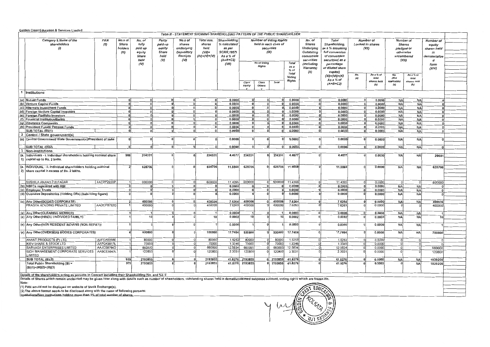Golden Crest Education & Services Limited

|              |                                                                                                                                                                                                                | Table III - STATEMENT SHOWING SHAREHOLDING PATTERN OF THE PUBLIC SHAREHOLDER<br>Category & Name of the<br>PAN<br><b>Number of Voting Rights</b><br>No.s of<br>No. of<br>Partly<br>No.s of<br>Total nos.<br>Shareholding<br>No. of<br>Total<br>Number of<br>Number of |              |                |                          |              |                 |                   |                 |                               |                          |                  |                |                      |                   |                  |                        |                        |                      |  |
|--------------|----------------------------------------------------------------------------------------------------------------------------------------------------------------------------------------------------------------|----------------------------------------------------------------------------------------------------------------------------------------------------------------------------------------------------------------------------------------------------------------------|--------------|----------------|--------------------------|--------------|-----------------|-------------------|-----------------|-------------------------------|--------------------------|------------------|----------------|----------------------|-------------------|------------------|------------------------|------------------------|----------------------|--|
|              |                                                                                                                                                                                                                |                                                                                                                                                                                                                                                                      |              |                |                          |              |                 |                   |                 |                               |                          |                  |                |                      |                   |                  |                        |                        | Number of            |  |
|              | shareholders                                                                                                                                                                                                   | (H)                                                                                                                                                                                                                                                                  | Share        | fully          | paid-up                  | shares       | shares          | % calculated      |                 |                               | held in each class of    |                  | <b>Shares</b>  | Shareholding,        |                   | Locked in shares |                        | <b>Shares</b>          | equity               |  |
|              |                                                                                                                                                                                                                |                                                                                                                                                                                                                                                                      | holders      | paid up        | equity                   | underlying   | held            | as per            |                 | securities                    |                          |                  | Underlying     | as a % assuming      |                   | (XII)            | pledged or             |                        | shares held          |  |
|              |                                                                                                                                                                                                                |                                                                                                                                                                                                                                                                      | (III)        | equity         | Share                    | Depository   | $(VII)$ =       | <b>SCRR 1957)</b> |                 |                               | (IX)                     |                  | Outstating     | full conversion      |                   |                  | otherwise              |                        | in                   |  |
|              |                                                                                                                                                                                                                |                                                                                                                                                                                                                                                                      |              | Share          | held                     | Receipts     | (IV)+(V)+(VI)   | As a % of         |                 |                               |                          |                  | convertible    | of convertible       |                   |                  | encumbered             |                        | dematerialize        |  |
|              |                                                                                                                                                                                                                |                                                                                                                                                                                                                                                                      |              | held           | $\omega$                 | (VI)         |                 | $(A+B+C2)$        |                 |                               |                          |                  | securities     | securities( as a     |                   |                  | (XIII)                 |                        | d                    |  |
|              |                                                                                                                                                                                                                |                                                                                                                                                                                                                                                                      |              | (IV)           |                          |              |                 | (VIII)            |                 | No of Voting<br><b>Rights</b> |                          | Total<br>as a    | (including     | percentage           |                   |                  |                        |                        | form                 |  |
|              |                                                                                                                                                                                                                |                                                                                                                                                                                                                                                                      |              |                |                          |              |                 |                   |                 |                               |                          | % of             | Warrants)      | of diluted share     |                   |                  |                        |                        | (XIV)                |  |
|              |                                                                                                                                                                                                                |                                                                                                                                                                                                                                                                      |              |                |                          |              |                 |                   |                 |                               |                          | Total            | (x)            | capital)             | No                | As a % of        | No.                    | As a % of              |                      |  |
|              |                                                                                                                                                                                                                |                                                                                                                                                                                                                                                                      |              |                |                          |              |                 |                   |                 |                               |                          | Voting           |                | $(XI) = (VII) + (X)$ | (a)               | total            | (Not                   | total                  |                      |  |
|              |                                                                                                                                                                                                                |                                                                                                                                                                                                                                                                      |              |                |                          |              |                 |                   | Class           | Class                         | Total                    | <b>Rights</b>    |                | As a % of            |                   | shares held      | applicable)            | shares held            |                      |  |
|              |                                                                                                                                                                                                                |                                                                                                                                                                                                                                                                      |              |                |                          |              |                 |                   | Equity          | <b>Others</b>                 |                          |                  |                | $(A+B+C2)$           |                   | (b)              | (a)                    | (b)                    |                      |  |
|              |                                                                                                                                                                                                                |                                                                                                                                                                                                                                                                      |              |                |                          |              |                 |                   |                 |                               |                          |                  |                |                      |                   |                  |                        |                        |                      |  |
| $\mathbf{1}$ | Institutions                                                                                                                                                                                                   |                                                                                                                                                                                                                                                                      |              |                |                          |              |                 |                   |                 |                               |                          |                  |                |                      |                   |                  |                        |                        |                      |  |
|              |                                                                                                                                                                                                                |                                                                                                                                                                                                                                                                      |              |                |                          |              |                 |                   |                 |                               |                          |                  |                |                      |                   |                  |                        |                        |                      |  |
|              | (a) Mutual Funds                                                                                                                                                                                               |                                                                                                                                                                                                                                                                      |              |                | $\mathbf{o}$<br>$\Omega$ | $\Omega$     | 0 <br>nl        | 0.0000<br>0.0000  | 0<br>-ol        | $\mathbf{0}$                  | $\Omega$<br><sup>0</sup> | 0.0000<br>0.0000 | $\bf{0}$<br>o  | 0.0000               | 0<br>$\mathbf{0}$ | 0.0000           | <b>NA</b>              | NA                     |                      |  |
|              | (b) Venture Capital Funds<br>(c) Alternate Investment Funds                                                                                                                                                    |                                                                                                                                                                                                                                                                      |              |                |                          |              | $\Omega$        | 0.0000            | $\overline{0}$  | $\Omega$                      |                          | 0.0000           | $\mathbf{0}$   | 0.0000<br>0.0000     | $\mathbf 0$       | 0.0000<br>0.0000 | <b>NA</b><br><b>NA</b> | <b>NA</b>              | $\Omega$<br>$\Omega$ |  |
|              | (d) Foreign Venture Capital Investors                                                                                                                                                                          |                                                                                                                                                                                                                                                                      |              |                |                          |              | 0               | 0.0000            | $\Omega$        |                               |                          | 0.0000           |                | 0.0000               | $\mathbf{0}$      | 0.0000           | NA                     | <b>NA</b><br><b>NA</b> | $\Omega$             |  |
|              | (e) Foreign Portfolio Investors                                                                                                                                                                                |                                                                                                                                                                                                                                                                      | $\Omega$     |                |                          |              | 0 <sup>1</sup>  | 0.0000            | ΩI              | $\Omega$                      |                          | 0.0000           | $\Omega$       | 0.0000               |                   | 0.0000           | <b>NA</b>              | NA                     | $\Omega$             |  |
|              | (f) Financial Institution/Banks                                                                                                                                                                                |                                                                                                                                                                                                                                                                      | $\Omega$     |                |                          |              | $\Omega$        | 0.0000            | ΩI              | $\Omega$                      |                          | 0.0000           | $\mathbf{0}$   | 0.0000               |                   | 0.0000           | <b>NA</b>              | <b>NA</b>              | $\Omega$             |  |
|              | (g) Insurance Companies                                                                                                                                                                                        |                                                                                                                                                                                                                                                                      | $\Omega$     |                | $\Omega$                 | $\Omega$     | $\mathbf 0$     | 0.0000            | $\Omega$        | $\mathbf{a}$                  |                          | 0.0000           | 0              | 0.0000               |                   | 0.0000           | <b>NA</b>              | NA                     | n                    |  |
|              | (h) Provident Funds/ Pension Funds                                                                                                                                                                             |                                                                                                                                                                                                                                                                      | n            | $\sqrt{2}$     | $^{\circ}$               | $\Omega$     | n               | 0.0000            | $\Omega$        | $\Omega$                      | n                        | 0.0000           | $\mathbf{0}$   | 0.0000               | $\Omega$          | 0.0000           | <b>NA</b>              | <b>NA</b>              | $\Omega$             |  |
|              | <b>SUB TOTAL (B)(1)</b>                                                                                                                                                                                        |                                                                                                                                                                                                                                                                      |              |                |                          |              | O               | 0.0000            | $\Omega$        | $\theta$                      |                          | 0.0000           | $\Omega$       | 0.0000               | $\mathbf{a}$      | 0.0000           | <b>NA</b>              | NA.                    | $\Omega$             |  |
|              | 2 Central / State government(s)                                                                                                                                                                                |                                                                                                                                                                                                                                                                      |              |                |                          |              |                 |                   |                 |                               |                          |                  |                |                      |                   |                  |                        |                        |                      |  |
| (a)          | Central Government/ State Government(s)/President of India                                                                                                                                                     |                                                                                                                                                                                                                                                                      | $\bf{0}$     | $\mathbf 0$    | $\Omega$                 | 0            | nl              | 0.0000            | nl              | $\Omega$                      |                          | 0.0000           | 0              | 0.0000               | $\mathbf{0}$      | 0.0000           | <b>NA</b>              | NA.                    | $\Omega$             |  |
|              |                                                                                                                                                                                                                |                                                                                                                                                                                                                                                                      |              |                |                          |              |                 |                   |                 |                               |                          |                  |                |                      |                   |                  |                        |                        |                      |  |
|              | SUB TOTAL (B)(2)                                                                                                                                                                                               |                                                                                                                                                                                                                                                                      | $\Omega$     | $\Omega$       | $\mathbf{0}$             | $\Omega$     | $\Omega$        | 0.0000            | $\Omega$        |                               |                          | 0.0000           | $\overline{0}$ | 0.0000               |                   | 0.0000           | <b>NA</b>              | NA.                    |                      |  |
| $\mathbf{3}$ | Non-institutions                                                                                                                                                                                               |                                                                                                                                                                                                                                                                      |              |                |                          |              |                 |                   |                 |                               |                          |                  |                |                      |                   |                  |                        |                        |                      |  |
| (a.          | Individuals - i. Individual shareholders holding nominal share                                                                                                                                                 |                                                                                                                                                                                                                                                                      | 908          | 234331         |                          | $\mathbf{0}$ | 234331          | 4.4677            | 234331          | $\Omega$                      | 234331                   | 4.4677           | $\mathbf{0}$   | 4.4677               |                   | 0.0000           | NA                     | <b>NA</b>              | 29681                |  |
| 1)           | capital up to Rs. 2 lakhs.                                                                                                                                                                                     |                                                                                                                                                                                                                                                                      |              |                |                          |              |                 |                   |                 |                               |                          |                  |                |                      |                   |                  |                        |                        |                      |  |
| (a.          | INDIVIDUAL - ii. Individual shareholders holding nominal                                                                                                                                                       |                                                                                                                                                                                                                                                                      |              | 628706         |                          | $\Omega$     | 628706          | 11.9868           | 628706          |                               | 628706                   | 11.9868          |                | 11.9868              |                   | 0.0000           | <b>NA</b>              | NA                     | 628706               |  |
|              | 2) share capital in excess of Rs. 2 lakhs.                                                                                                                                                                     |                                                                                                                                                                                                                                                                      |              |                |                          |              |                 |                   |                 |                               |                          |                  |                |                      |                   |                  |                        |                        |                      |  |
|              |                                                                                                                                                                                                                |                                                                                                                                                                                                                                                                      |              |                |                          |              |                 |                   |                 |                               |                          |                  |                |                      |                   |                  |                        |                        |                      |  |
|              |                                                                                                                                                                                                                |                                                                                                                                                                                                                                                                      |              |                |                          |              |                 |                   |                 |                               |                          |                  |                |                      |                   |                  |                        |                        |                      |  |
|              | SUSHILA ANAND FULFAGAR                                                                                                                                                                                         | AACPF2220P                                                                                                                                                                                                                                                           |              | 600000         |                          | 0l           | 600000          | 11.4395           | 600000          | 0Ì                            | 600000                   | 11.4395          | $\overline{0}$ | 11.4395              | 0                 | 0.0000           |                        |                        | 600000               |  |
|              | (b) NBFCs registered with RBI                                                                                                                                                                                  |                                                                                                                                                                                                                                                                      | $\mathbf{0}$ |                |                          | $\Omega$     |                 | 0.0000            |                 | $\theta$                      |                          | 0.0000           | $\overline{0}$ | 0.0000               | $\Omega$          | 0.0000           | <b>NA</b>              | <b>NA</b>              | -C                   |  |
|              | (c) Employee Trusts                                                                                                                                                                                            |                                                                                                                                                                                                                                                                      | $\Omega$     |                |                          | $\Omega$     | $\Omega$        | 0.0000            | $\Omega$        | $\Omega$                      |                          | 0.0000           | $\bf{0}$       | 0.0000               | $\mathbf{0}$      | 0.0000           | <b>NA</b>              | <b>NA</b>              | $\Omega$             |  |
|              | (d) Overseas Depositories (holding DRs) (balancing figure)                                                                                                                                                     |                                                                                                                                                                                                                                                                      | $\Omega$     |                |                          |              |                 | 0.0000            |                 |                               |                          | 0.0000           | $\mathbf{a}$   | 0.0000               |                   | 0.0000           | NA                     | <b>NA</b>              |                      |  |
|              |                                                                                                                                                                                                                |                                                                                                                                                                                                                                                                      |              |                |                          |              |                 |                   |                 |                               |                          |                  |                |                      |                   |                  |                        |                        |                      |  |
|              | (e) Any Other(BODIES CORPORATE)                                                                                                                                                                                |                                                                                                                                                                                                                                                                      | 2            | 400006         |                          |              | 400006          | 7.6264            | 400006          |                               | 400006                   | 7.6264           | $\mathbf{0}$   | 7.6264               |                   | 0.0000           | <b>NA</b>              | _NA                    | 400006               |  |
|              | PRAGYA HOLDING PRIVATE LIMITED                                                                                                                                                                                 | AADCP8792Q                                                                                                                                                                                                                                                           |              | 400000         |                          |              | 400000          | 7.6263            | 400000          |                               | 400000                   | 7.6263           |                | 7.6263               |                   | 0.0000           |                        |                        | 400000               |  |
|              | (e) Any Other(CLEARING MEMBER)                                                                                                                                                                                 |                                                                                                                                                                                                                                                                      |              |                |                          |              |                 | 0.0000            |                 |                               |                          | 0.0000           |                | 0.0000               |                   | 0.0000           | <b>NA</b>              | NΑ                     |                      |  |
|              | (e) Any Other(HINDU UNDIVIDED FAMILY)                                                                                                                                                                          |                                                                                                                                                                                                                                                                      |              | 10             |                          |              | 10 <sup>1</sup> | 0.0002            | 10 <sup>1</sup> | $\Omega$                      | 10                       | 0.0002           |                | 0.0002               | $\Omega$          | 0.0000           | NA                     | <b>NA</b>              | 10 <sup>1</sup>      |  |
|              |                                                                                                                                                                                                                |                                                                                                                                                                                                                                                                      |              |                |                          |              |                 |                   |                 |                               |                          |                  |                |                      |                   |                  |                        |                        |                      |  |
|              | (e) Any Other(NON RESIDENT INDIANS (NON REPAT))                                                                                                                                                                |                                                                                                                                                                                                                                                                      |              |                |                          |              |                 | 0.0000            |                 | $\Omega$                      |                          | 0.0000           |                | 0.0000               |                   | 0.0000           | <b>NA</b>              | NA                     |                      |  |
|              |                                                                                                                                                                                                                |                                                                                                                                                                                                                                                                      |              |                |                          |              |                 |                   |                 |                               |                          |                  |                |                      |                   |                  |                        |                        |                      |  |
|              | (e) Any Other(OVERSEAS BODIES CORPORATES)                                                                                                                                                                      |                                                                                                                                                                                                                                                                      |              | 930800         |                          |              | 930800          | 17.7464           | 930800          |                               | 930800                   | 17.7464          |                | 17.7464              |                   | 0.0000           | <b>NA</b>              | <b>NA</b>              | 780800               |  |
|              |                                                                                                                                                                                                                |                                                                                                                                                                                                                                                                      |              |                |                          |              |                 |                   |                 |                               |                          |                  |                |                      |                   |                  |                        |                        |                      |  |
|              | ANANT PRODUCTS (P) LTD.<br>KIEV SHARE & STOCK LTD                                                                                                                                                              | AAFCA0068E<br>AAFCK9917L                                                                                                                                                                                                                                             |              | 80000<br>70000 |                          |              | 80000<br>70000  | 1.5253<br>1.3346  | 80000<br>70000  |                               | 80000<br>7000            | 1.5253<br>1.3346 |                | 1.5253<br>1.3346     | $\Omega$          | 0.0000           |                        | $\Omega$<br>$\Omega$   | $\Omega$             |  |
|              | SARVADA ENTERPRISES LIMITED                                                                                                                                                                                    | AAJCS8794D                                                                                                                                                                                                                                                           |              | 660000         |                          |              | 660000          | 12.5834           | 660000          |                               | 660000                   | 12.5834          |                | 12.5834              | $\Omega$          | 0.0000<br>0.0000 | $\Omega$               | <sup>0</sup>           |                      |  |
|              | SIDH MANAGEMENT CORPORATE SERVICES                                                                                                                                                                             | AABCE5943L                                                                                                                                                                                                                                                           |              | 120800         |                          |              | 120800          | 2.3031            | 120800          |                               | 120800                   | 2.3031           |                | 2.3031               |                   | 0.0000           |                        |                        | 660000<br>120800     |  |
|              | LIMITED                                                                                                                                                                                                        |                                                                                                                                                                                                                                                                      |              |                |                          |              |                 |                   |                 |                               |                          |                  |                |                      |                   |                  |                        |                        |                      |  |
|              | SUB TOTAL (B)(3)                                                                                                                                                                                               |                                                                                                                                                                                                                                                                      | 919          | 2193855        |                          |              | 2193855         | 41.8276           | 2193855         |                               | 2193855                  | 41.8276          |                | 41.8276              |                   | 0.0000           | <b>NA</b>              | <b>NA</b>              | 1839205              |  |
|              | Total Public Shareholding (B) =                                                                                                                                                                                |                                                                                                                                                                                                                                                                      | 919          | 2193855        |                          |              | 2193855         | 41.8276           | 2193855         |                               | 2193855                  | 41.8276          |                | 41.8276              |                   | 0.0000           |                        | NA                     | 1839205              |  |
|              | $(B)(1)+(B)(2)+(B)(3)$                                                                                                                                                                                         |                                                                                                                                                                                                                                                                      |              |                |                          |              |                 |                   |                 |                               |                          |                  |                |                      |                   |                  |                        |                        |                      |  |
|              |                                                                                                                                                                                                                |                                                                                                                                                                                                                                                                      |              |                |                          |              |                 |                   |                 |                               |                          |                  |                |                      |                   |                  |                        |                        |                      |  |
|              | Details of the shareholders acting as persons in Concert including their Shareholding (No. and %): 0                                                                                                           |                                                                                                                                                                                                                                                                      |              |                |                          |              |                 |                   |                 |                               |                          |                  |                |                      |                   |                  |                        |                        |                      |  |
|              | Details of Shares which remain unclaimed may be given hear along with details such as number of shareholders, outstanding shares held in demat/unclaimed suspense account, voting rights which are frozen etc. |                                                                                                                                                                                                                                                                      |              |                |                          |              |                 |                   |                 |                               |                          |                  |                |                      |                   |                  |                        |                        |                      |  |
|              |                                                                                                                                                                                                                |                                                                                                                                                                                                                                                                      |              |                |                          |              |                 |                   |                 |                               |                          |                  |                |                      |                   |                  |                        |                        |                      |  |

Note:<br>(1) PAN would not be displayed on website of Stock Exchange(s).<br>(2) The above format needs to be disclosed along with the name of following persons:<br>Institutions/Non Institutions holding more than 1% of total number

EDUCA 10,  $\gamma$  under  $\mathbb{R}$  , where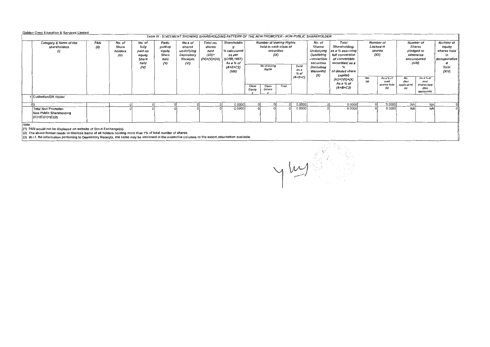## Golden Crest Education & Services Limited

|                                                                                                                                              | Table IV - STATEMENT SHOWING SHAREHOLDING PATTERN OF THE NON PROMOTER - NON PUBLIC SHAREHOLDER                                                                                                                                                                                                                                          |                                     |                                                               |                                                          |                                                                   |                                                             |                                                                                                 |                                                                                                                                                         |                 |                                                                                                                    |                                                                                                                                                                        |                                                                               |          |                                                                                                             |                    |                                                                            |                                    |  |
|----------------------------------------------------------------------------------------------------------------------------------------------|-----------------------------------------------------------------------------------------------------------------------------------------------------------------------------------------------------------------------------------------------------------------------------------------------------------------------------------------|-------------------------------------|---------------------------------------------------------------|----------------------------------------------------------|-------------------------------------------------------------------|-------------------------------------------------------------|-------------------------------------------------------------------------------------------------|---------------------------------------------------------------------------------------------------------------------------------------------------------|-----------------|--------------------------------------------------------------------------------------------------------------------|------------------------------------------------------------------------------------------------------------------------------------------------------------------------|-------------------------------------------------------------------------------|----------|-------------------------------------------------------------------------------------------------------------|--------------------|----------------------------------------------------------------------------|------------------------------------|--|
| Category & Name of the<br>shareholders<br>(1)                                                                                                | PAN<br>(11)                                                                                                                                                                                                                                                                                                                             | No. of<br>Share<br>holders<br>(III) | No. of<br>fully<br>paid up<br>equity<br>Share<br>held<br>(IV) | Partly<br>paid-up<br>equity<br>Share<br>held<br>$\infty$ | No.s of<br>shares<br>underlying<br>Depository<br>Receipts<br>(VI) | Total no.<br>shares<br>held<br>$(VII)$ =<br>$(IV)+(V)+(VI)$ | Shareholdin<br>% calculated<br>as per<br><b>SCRR,1957)</b><br>As a % of<br>$(A+B+C2)$<br>(VIII) | <b>Number of Votting Rights</b><br>held in each class of<br>securities<br>(IX)<br>No of Voting<br><b>Total</b><br>Rights<br>as a<br>$%$ of<br>$(A+B+C)$ |                 | No. of<br><b>Shares</b><br>Underlying<br>Outstating<br>convertible<br>securities<br>(including<br>Warrants)<br>(x) | Total<br>Shareholding,<br>as a % assuming<br>full conversion<br>of convertible<br>securities(as a<br>of diluted share<br>capital)<br>$(XI) = (VII) + (X)$<br>As a % of | Number of<br>Locked in<br>shares<br>(XII)<br>As a % of<br>No.<br>(a)<br>total |          | Number of<br>Shares<br>pledged or<br>otherwise<br>encumbered<br>(XIII)<br>As a % of<br>No.<br>(Not<br>total |                    | Number of<br>equity<br>shares held<br>in<br>dematerialize<br>form<br>(XIV) |                                    |  |
| 1 Custodian/DR Holder                                                                                                                        |                                                                                                                                                                                                                                                                                                                                         |                                     |                                                               |                                                          |                                                                   |                                                             |                                                                                                 | Class<br>Equity                                                                                                                                         | Class<br>Others | Total                                                                                                              |                                                                                                                                                                        |                                                                               | (A+B+C2) |                                                                                                             | shares held<br>(b) | applicable)<br>(a)                                                         | shares held<br>(Not<br>applicable) |  |
|                                                                                                                                              |                                                                                                                                                                                                                                                                                                                                         |                                     |                                                               |                                                          |                                                                   |                                                             |                                                                                                 |                                                                                                                                                         |                 |                                                                                                                    |                                                                                                                                                                        |                                                                               |          |                                                                                                             |                    |                                                                            |                                    |  |
|                                                                                                                                              |                                                                                                                                                                                                                                                                                                                                         |                                     |                                                               |                                                          | οI                                                                |                                                             | 0.0000<br>ΩI                                                                                    |                                                                                                                                                         |                 |                                                                                                                    | 0.0000                                                                                                                                                                 |                                                                               | 0.0000   |                                                                                                             | 0.0000             | <b>NAI</b>                                                                 | NA.                                |  |
| 0.0000<br>0.0000<br>0.0000<br>0.0000<br><b>NA</b><br><b>Total Non Promoter-</b><br><b>NA</b><br>Non Public Shareholding<br>(C)=(C)(1)+(C)(2) |                                                                                                                                                                                                                                                                                                                                         |                                     |                                                               |                                                          |                                                                   |                                                             |                                                                                                 |                                                                                                                                                         |                 |                                                                                                                    |                                                                                                                                                                        |                                                                               |          |                                                                                                             |                    |                                                                            |                                    |  |
| Note                                                                                                                                         | (1) PAN would not be displayed on website of Stock Exchange(s).<br>(2) The above format needs to disclose bame of all holders holding more than 1% of total number of shares.<br>(3) W.r.t. the information pertaining to Depository Receipts, the same may be disclosed in the respective columns to the extent information available. |                                     |                                                               |                                                          |                                                                   |                                                             |                                                                                                 |                                                                                                                                                         |                 |                                                                                                                    |                                                                                                                                                                        |                                                                               |          |                                                                                                             |                    |                                                                            |                                    |  |

y my find